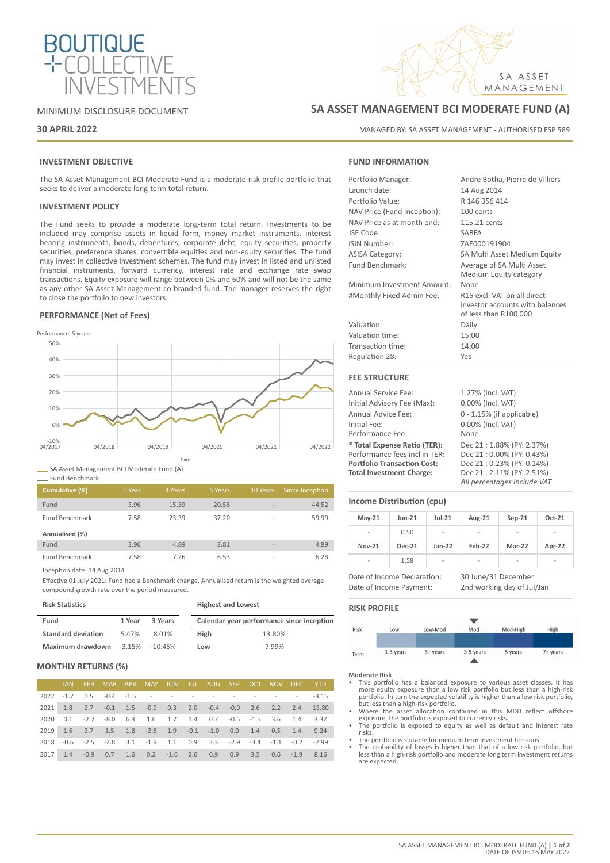

### MINIMUM DISCLOSURE DOCUMENT

### **30 APRIL 2022**

### **INVESTMENT OBJECTIVE**

The SA Asset Management BCI Moderate Fund is a moderate risk profile portfolio that seeks to deliver a moderate long-term total return.

### **INVESTMENT POLICY**

The Fund seeks to provide a moderate long-term total return. Investments to be included may comprise assets in liquid form, money market instruments, interest bearing instruments, bonds, debentures, corporate debt, equity securities, property securities, preference shares, convertible equities and non-equity securities. The fund may invest in collective investment schemes. The fund may invest in listed and unlisted financial instruments, forward currency, interest rate and exchange rate swap transactions. Equity exposure will range between 0% and 60% and will not be the same as any other SA Asset Management co-branded fund. The manager reserves the right to close the portfolio to new investors.

### **PERFORMANCE (Net of Fees)**



SA Asset Management BCI Moderate Fund (A)

| Fund Benchmark |         |         |
|----------------|---------|---------|
| Cumulative (%) | -1 Year | 3 Years |
|                |         |         |

| Fund                  | 3.96 | 15.39 | 20.58 | $\overline{\phantom{a}}$ | 44.52 |
|-----------------------|------|-------|-------|--------------------------|-------|
| <b>Fund Benchmark</b> | 7.58 | 23.39 | 37.20 | $\overline{\phantom{a}}$ | 59.99 |
| Annualised (%)        |      |       |       |                          |       |
| Fund                  | 3.96 | 4.89  | 3.81  | $\overline{\phantom{a}}$ | 4.89  |
|                       |      |       |       |                          |       |

**Cumulative (5 Years 10 Years 6 Since Inception** 

Inception date: 14 Aug 2014

Effective 01 July 2021: Fund had a Benchmark change. Annualised return is the weighted average compound growth rate over the period measured.

| <b>Risk Statistics</b>    |        |                    | <b>Highest and Lowest</b>                 |          |  |
|---------------------------|--------|--------------------|-------------------------------------------|----------|--|
| Fund                      | 1 Year | 3 Years            | Calendar year performance since inception |          |  |
| <b>Standard deviation</b> | 5.47%  | 8.01%              | High                                      | 13.80%   |  |
| Maximum drawdown          |        | $-3.15\% -10.45\%$ | Low                                       | $-7.99%$ |  |

### **MONTHLY RETURNS (%)**

|  | JAN FEB MAR APR MAY JUN JUL AUG SEP OCT NOV DEC YTD                        |  |  |  |  |  |
|--|----------------------------------------------------------------------------|--|--|--|--|--|
|  | 2022 -1.7 0.5 -0.4 -1.5 - - - - - - - - - - - -3.15                        |  |  |  |  |  |
|  | 2021 1.8 2.7 -0.1 1.5 -0.9 0.3 2.0 -0.4 -0.9 2.6 2.2 2.4 13.80             |  |  |  |  |  |
|  | 2020  0.1  -2.7  -8.0  6.3  1.6  1.7  1.4  0.7  -0.5  -1.5  3.6  1.4  3.37 |  |  |  |  |  |
|  | 2019 1.6 2.7 1.5 1.8 -2.8 1.9 -0.1 -1.0 0.0 1.4 0.5 1.4 9.24               |  |  |  |  |  |
|  | 2018 -0.6 -2.5 -2.8 3.1 -1.9 1.1 0.9 2.3 -2.9 -3.4 -1.1 -0.2 -7.99         |  |  |  |  |  |
|  | 2017 1.4 -0.9 0.7 1.6 0.2 -1.6 2.6 0.9 0.9 3.5 0.6 -1.9 8.16               |  |  |  |  |  |

# **SA ASSET MANAGEMENT BCI MODERATE FUND (A)**

MANAGED BY: SA ASSET MANAGEMENT - AUTHORISED FSP 589

SA ASSET MANAGEMENT

### **FUND INFORMATION**

| Portfolio Manager:          | Andre Botha, Pierre de Villiers |
|-----------------------------|---------------------------------|
| Launch date:                | 14 Aug 2014                     |
| Portfolio Value:            | R 146 356 414                   |
| NAV Price (Fund Inception): | 100 cents                       |
| NAV Price as at month end:  | 115.21 cents                    |
| JSE Code:                   | <b>SABFA</b>                    |
| ISIN Number:                | ZAE000191904                    |
| <b>ASISA Category:</b>      | SA Multi Asset Medium Equity    |
| Fund Benchmark:             | Average of SA Multi Asset       |
|                             | Medium Equity category          |
| Minimum Investment Amount:  | None                            |
| #Monthly Fixed Admin Fee:   | R15 excl. VAT on all direct     |
|                             | investor accounts with balances |
|                             | of less than R100 000           |
| Valuation:                  | Daily                           |
| Valuation time:             | 15:00                           |
| Transaction time:           | 14:00                           |
| Regulation 28:              | Yes                             |
| <b>FEE STRUCTURE</b>        |                                 |
| <b>Annual Service Fee:</b>  | 1.27% (Incl. VAT)               |
| Initial Advisory Fee (Max): | 0.00% (Incl. VAT)               |

| Initial Advisory Fee (Max):        | 0.00% (Incl. VAT)           |
|------------------------------------|-----------------------------|
| Annual Advice Fee:                 | 0 - 1.15% (if applicable)   |
| Initial Fee:                       | 0.00% (Incl. VAT)           |
| Performance Fee:                   | None                        |
| * Total Expense Ratio (TER):       | Dec 21: 1.88% (PY: 2.37%)   |
| Performance fees incl in TER:      | Dec 21:0.00% (PY: 0.43%)    |
| <b>Portfolio Transaction Cost:</b> | Dec 21: 0.23% (PY: 0.14%)   |
| <b>Total Investment Charge:</b>    | Dec 21: 2.11% (PY: 2.51%)   |
|                                    | All percentages include VAT |

### **Income Distribution (cpu)**

| $May-21$       | $Jun-21$      | $Jul-21$                 | Aug-21 | $Sep-21$ | Oct-21                   |
|----------------|---------------|--------------------------|--------|----------|--------------------------|
| $\overline{a}$ | 0.50          | $\overline{\phantom{a}}$ | -      | -        | $\overline{\phantom{a}}$ |
| <b>Nov-21</b>  | <b>Dec-21</b> | $Jan-22$                 | Feb-22 | Mar-22   | Apr-22                   |
| $\blacksquare$ | 1.58          | $\overline{\phantom{a}}$ | -      | ٠        | -                        |

Date of Income Payment: 2nd working day of Jul/Jan

Date of Income Declaration: 30 June/31 December

### **RISK PROFILE**



- **Moderate Risk** This portfolio has a balanced exposure to various asset classes. It has more equity exposure than a low risk portfolio but less than a high-risk portfolio. In turn the expected volatility is higher than a low risk portfolio, but less than a high-risk portfolio. • Where the asset allocation contained in this MDD reflect offshore
- exposure, the portfolio is exposed to currency risks. The portfolio is exposed to equity as well as default and interest rate
- risks.
- The portfolio is suitable for medium term investment horizons.
- The probability of losses is higher than that of a low risk portfolio, but less than a high-risk portfolio and moderate long term investment returns are expected.